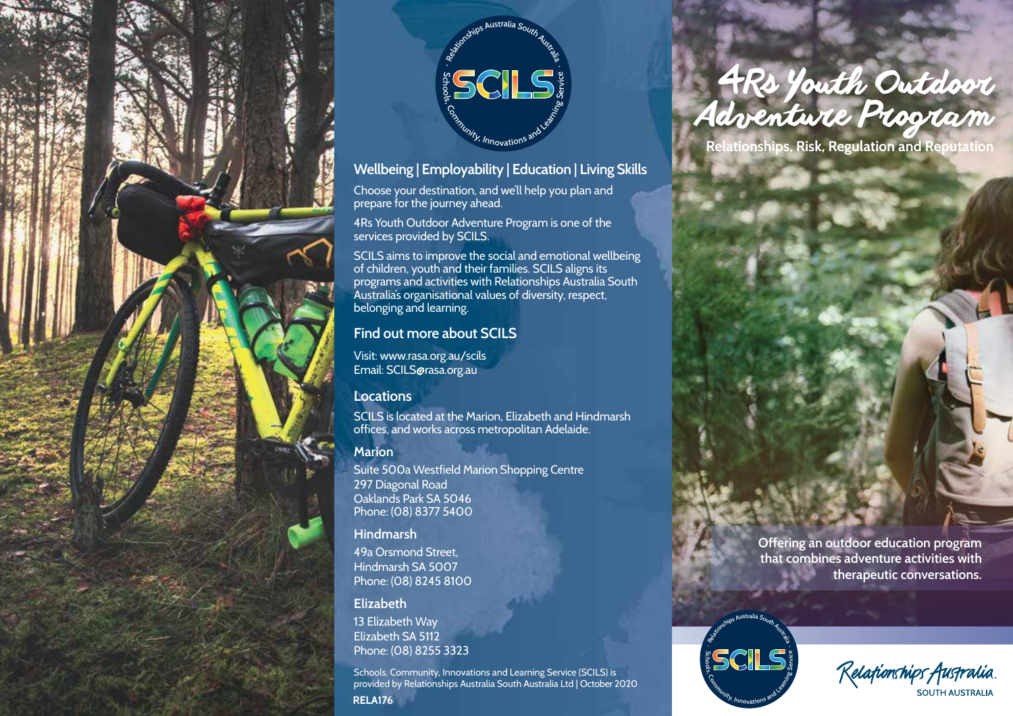



### **Wellbeing | Employability | Education | Living Skills**

Choose your destination, and we'll help you plan and prepare for the journey ahead.

4Rs Youth Outdoor Adventure Program is one of the services provided by SCILS.

SCILS aims to improve the social and emotional wellbeing of children, youth and their families. SCILS aligns its programs and activities with Relationships Australia South Australia's organisational values of diversity, respect, belonging and learning.

# **Find out more about SCILS**

Visit: www.rasa.org.au/scils Email: SCILS@rasa.org.au

# **Locations**

SCILS is located at the Marion, Elizabeth and Hindmarsh offices, and works across metropolitan Adelaide.

# **Marion**

Suite 500a Westfield Marion Shopping Centre 297 Diagonal Road Oaklands Park SA 5046 Phone: (08) 8377 5400

#### **Hindmarsh**

49a Orsmond Street, Hindmarsh SA 5007 Phone: (08) 8245 8100

#### **Elizabeth**

13 Elizabeth Way Elizabeth SA 5112 Phone: (08) 8255 3323

Schools, Community, Innovations and Learning Service (SCILS) is provided by Relationships Australia South Australia Ltd | October 2020 **RELA176**

# <sup>4</sup>*Rs Youth Outdoor Adventure Program*

**Relationships, Risk, Regulation and Reputation**

**Offering an outdoor education program that combines adventure activities with therapeutic conversations.**